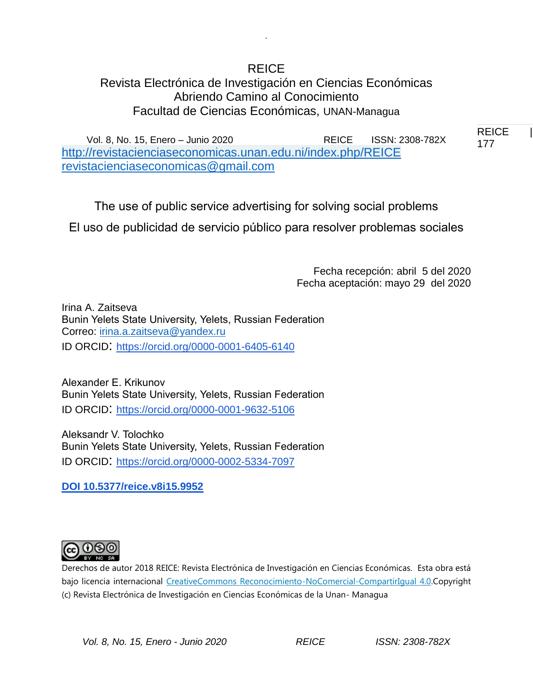# REICE Revista Electrónica de Investigación en Ciencias Económicas Abriendo Camino al Conocimiento Facultad de Ciencias Económicas, UNAN-Managua

.

Vol. 8, No. 15, Enero – Junio 2020 REICE ISSN: 2308-782X <http://revistacienciaseconomicas.unan.edu.ni/index.php/REICE> [revistacienciaseconomicas@gmail.com](mailto:revistacienciaseconomicas@gmail.com)

The use of public service advertising for solving social problems

El uso de publicidad de servicio público para resolver problemas sociales

Fecha recepción: abril 5 del 2020 Fecha aceptación: mayo 29 del 2020 REICE |

177 177

Irina A. Zaitseva Bunin Yelets State University, Yelets, Russian Federation Correo: [irina.a.zaitseva@yandex.ru](mailto:irina.a.zaitseva@yandex.ru) ID ORCID: [https://orcid.org/0000-0001-6405-6140](https://orcid.org/0000-0002-9621-2117)

Alexander E. Krikunov Bunin Yelets State University, Yelets, Russian Federation ID ORCID: [https://orcid.org/0000-0001-9632-5106](https://orcid.org/0000-0002-9621-2117)

Aleksandr V. Tolochko Bunin Yelets State University, Yelets, Russian Federation ID ORCID: [https://orcid.org/0000-0002-5334-7097](https://orcid.org/0000-0002-9621-2117)

**DOI 10.5377/reice.v8i15.9952**



Derechos de autor 2018 REICE: Revista Electrónica de Investigación en Ciencias Económicas. Esta obra está bajo licencia internacional [CreativeCommons Reconocimiento-NoComercial-CompartirIgual 4.0.C](http://creativecommons.org/licenses/by-nc-sa/4.0/)opyright (c) Revista Electrónica de Investigación en Ciencias Económicas de la Unan- Managua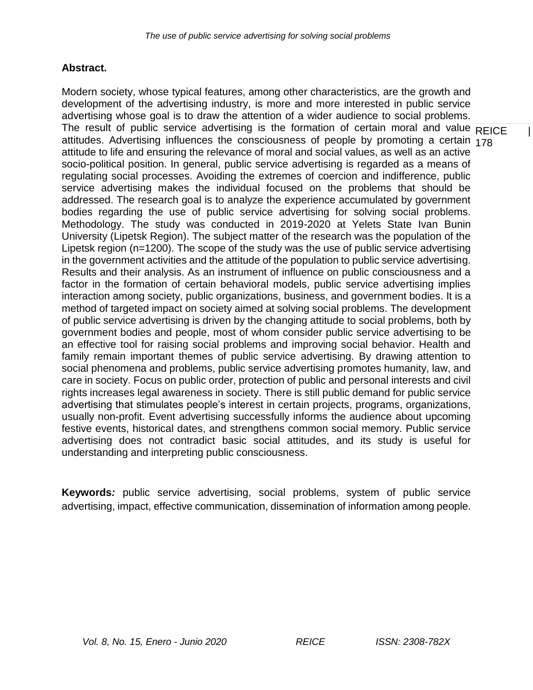# **Abstract.**

The result of public service advertising is the formation of certain moral and value  $\overline{\sf REICE}$  | attitudes. Advertising influences the consciousness of people by promoting a certain <sub>178</sub> Modern society, whose typical features, among other characteristics, are the growth and development of the advertising industry, is more and more interested in public service advertising whose goal is to draw the attention of a wider audience to social problems. attitude to life and ensuring the relevance of moral and social values, as well as an active socio-political position. In general, public service advertising is regarded as a means of regulating social processes. Avoiding the extremes of coercion and indifference, public service advertising makes the individual focused on the problems that should be addressed. The research goal is to analyze the experience accumulated by government bodies regarding the use of public service advertising for solving social problems. Methodology. The study was conducted in 2019-2020 at Yelets State Ivan Bunin University (Lipetsk Region). The subject matter of the research was the population of the Lipetsk region (n=1200). The scope of the study was the use of public service advertising in the government activities and the attitude of the population to public service advertising. Results and their analysis. As an instrument of influence on public consciousness and a factor in the formation of certain behavioral models, public service advertising implies interaction among society, public organizations, business, and government bodies. It is a method of targeted impact on society aimed at solving social problems. The development of public service advertising is driven by the changing attitude to social problems, both by government bodies and people, most of whom consider public service advertising to be an effective tool for raising social problems and improving social behavior. Health and family remain important themes of public service advertising. By drawing attention to social phenomena and problems, public service advertising promotes humanity, law, and care in society. Focus on public order, protection of public and personal interests and civil rights increases legal awareness in society. There is still public demand for public service advertising that stimulates people's interest in certain projects, programs, organizations, usually non-profit. Event advertising successfully informs the audience about upcoming festive events, historical dates, and strengthens common social memory. Public service advertising does not contradict basic social attitudes, and its study is useful for understanding and interpreting public consciousness.

**Keywords***:* public service advertising, social problems, system of public service advertising, impact, effective communication, dissemination of information among people.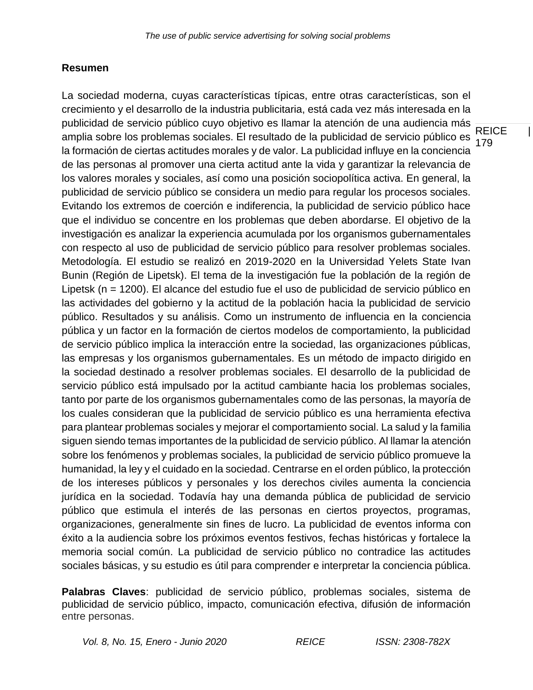# **Resumen**

**REICE** 179 La sociedad moderna, cuyas características típicas, entre otras características, son el crecimiento y el desarrollo de la industria publicitaria, está cada vez más interesada en la publicidad de servicio público cuyo objetivo es llamar la atención de una audiencia más amplia sobre los problemas sociales. El resultado de la publicidad de servicio público es la formación de ciertas actitudes morales y de valor. La publicidad influye en la conciencia de las personas al promover una cierta actitud ante la vida y garantizar la relevancia de los valores morales y sociales, así como una posición sociopolítica activa. En general, la publicidad de servicio público se considera un medio para regular los procesos sociales. Evitando los extremos de coerción e indiferencia, la publicidad de servicio público hace que el individuo se concentre en los problemas que deben abordarse. El objetivo de la investigación es analizar la experiencia acumulada por los organismos gubernamentales con respecto al uso de publicidad de servicio público para resolver problemas sociales. Metodología. El estudio se realizó en 2019-2020 en la Universidad Yelets State Ivan Bunin (Región de Lipetsk). El tema de la investigación fue la población de la región de Lipetsk (n = 1200). El alcance del estudio fue el uso de publicidad de servicio público en las actividades del gobierno y la actitud de la población hacia la publicidad de servicio público. Resultados y su análisis. Como un instrumento de influencia en la conciencia pública y un factor en la formación de ciertos modelos de comportamiento, la publicidad de servicio público implica la interacción entre la sociedad, las organizaciones públicas, las empresas y los organismos gubernamentales. Es un método de impacto dirigido en la sociedad destinado a resolver problemas sociales. El desarrollo de la publicidad de servicio público está impulsado por la actitud cambiante hacia los problemas sociales, tanto por parte de los organismos gubernamentales como de las personas, la mayoría de los cuales consideran que la publicidad de servicio público es una herramienta efectiva para plantear problemas sociales y mejorar el comportamiento social. La salud y la familia siguen siendo temas importantes de la publicidad de servicio público. Al llamar la atención sobre los fenómenos y problemas sociales, la publicidad de servicio público promueve la humanidad, la ley y el cuidado en la sociedad. Centrarse en el orden público, la protección de los intereses públicos y personales y los derechos civiles aumenta la conciencia jurídica en la sociedad. Todavía hay una demanda pública de publicidad de servicio público que estimula el interés de las personas en ciertos proyectos, programas, organizaciones, generalmente sin fines de lucro. La publicidad de eventos informa con éxito a la audiencia sobre los próximos eventos festivos, fechas históricas y fortalece la memoria social común. La publicidad de servicio público no contradice las actitudes sociales básicas, y su estudio es útil para comprender e interpretar la conciencia pública.

**Palabras Claves**: publicidad de servicio público, problemas sociales, sistema de publicidad de servicio público, impacto, comunicación efectiva, difusión de información entre personas.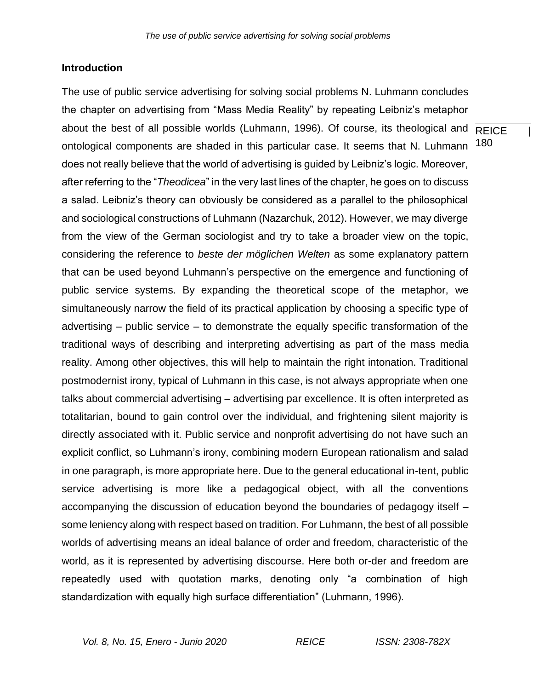#### **Introduction**

about the best of all possible worlds (Luhmann, 1996). Of course, its theological and REICE | ontological components are shaded in this particular case. It seems that N. Luhmann <sup>180</sup> The use of public service advertising for solving social problems N. Luhmann concludes the chapter on advertising from "Mass Media Reality" by repeating Leibniz's metaphor does not really believe that the world of advertising is guided by Leibniz's logic. Moreover, after referring to the "*Theodicea*" in the very last lines of the chapter, he goes on to discuss a salad. Leibniz's theory can obviously be considered as a parallel to the philosophical and sociological constructions of Luhmann (Nazarchuk, 2012). However, we may diverge from the view of the German sociologist and try to take a broader view on the topic, considering the reference to *beste der möglichen Welten* as some explanatory pattern that can be used beyond Luhmann's perspective on the emergence and functioning of public service systems. By expanding the theoretical scope of the metaphor, we simultaneously narrow the field of its practical application by choosing a specific type of advertising – public service – to demonstrate the equally specific transformation of the traditional ways of describing and interpreting advertising as part of the mass media reality. Among other objectives, this will help to maintain the right intonation. Traditional postmodernist irony, typical of Luhmann in this case, is not always appropriate when one talks about commercial advertising – advertising par excellence. It is often interpreted as totalitarian, bound to gain control over the individual, and frightening silent majority is directly associated with it. Public service and nonprofit advertising do not have such an explicit conflict, so Luhmann's irony, combining modern European rationalism and salad in one paragraph, is more appropriate here. Due to the general educational in-tent, public service advertising is more like a pedagogical object, with all the conventions accompanying the discussion of education beyond the boundaries of pedagogy itself – some leniency along with respect based on tradition. For Luhmann, the best of all possible worlds of advertising means an ideal balance of order and freedom, characteristic of the world, as it is represented by advertising discourse. Here both or-der and freedom are repeatedly used with quotation marks, denoting only "a combination of high standardization with equally high surface differentiation" (Luhmann, 1996).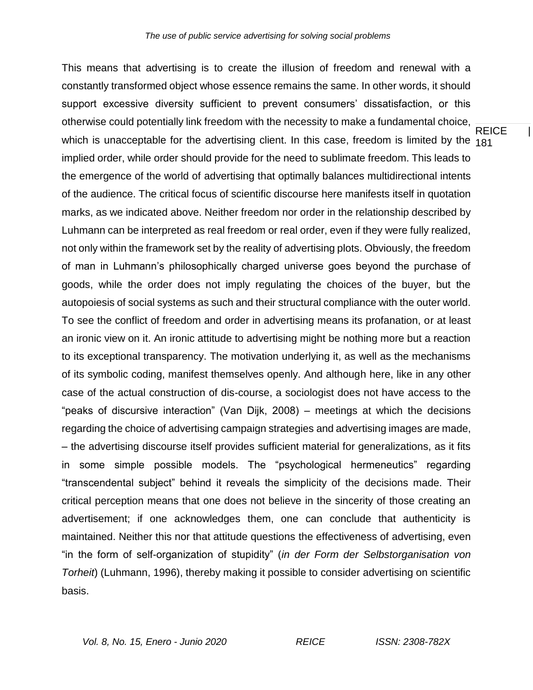**REICE** which is unacceptable for the advertising client. In this case, freedom is limited by the <sub>181</sub> This means that advertising is to create the illusion of freedom and renewal with a constantly transformed object whose essence remains the same. In other words, it should support excessive diversity sufficient to prevent consumers' dissatisfaction, or this otherwise could potentially link freedom with the necessity to make a fundamental choice, implied order, while order should provide for the need to sublimate freedom. This leads to the emergence of the world of advertising that optimally balances multidirectional intents of the audience. The critical focus of scientific discourse here manifests itself in quotation marks, as we indicated above. Neither freedom nor order in the relationship described by Luhmann can be interpreted as real freedom or real order, even if they were fully realized, not only within the framework set by the reality of advertising plots. Obviously, the freedom of man in Luhmann's philosophically charged universe goes beyond the purchase of goods, while the order does not imply regulating the choices of the buyer, but the autopoiesis of social systems as such and their structural compliance with the outer world. To see the conflict of freedom and order in advertising means its profanation, or at least an ironic view on it. An ironic attitude to advertising might be nothing more but a reaction to its exceptional transparency. The motivation underlying it, as well as the mechanisms of its symbolic coding, manifest themselves openly. And although here, like in any other case of the actual construction of dis-course, a sociologist does not have access to the "peaks of discursive interaction" (Van Dijk, 2008) – meetings at which the decisions regarding the choice of advertising campaign strategies and advertising images are made, – the advertising discourse itself provides sufficient material for generalizations, as it fits in some simple possible models. The "psychological hermeneutics" regarding "transcendental subject" behind it reveals the simplicity of the decisions made. Their critical perception means that one does not believe in the sincerity of those creating an advertisement; if one acknowledges them, one can conclude that authenticity is maintained. Neither this nor that attitude questions the effectiveness of advertising, even "in the form of self-organization of stupidity" (*in der Form der Selbstorganisation von Torheit*) (Luhmann, 1996), thereby making it possible to consider advertising on scientific basis.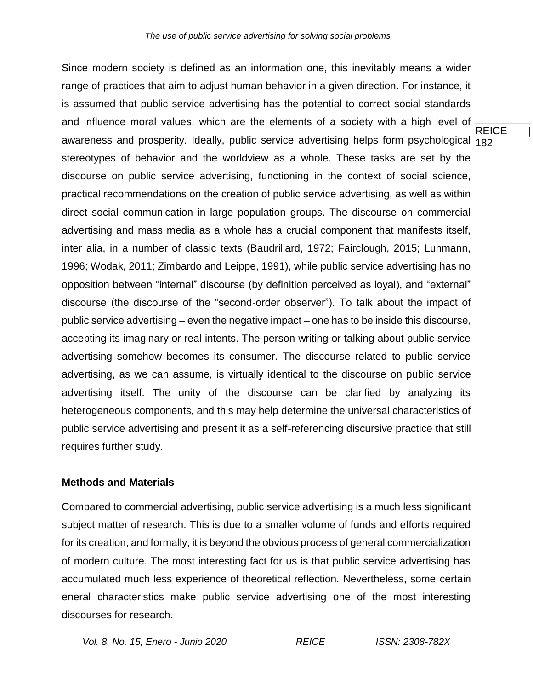**REICE** awareness and prosperity. Ideally, public service advertising helps form psychological <sub>182</sub> Since modern society is defined as an information one, this inevitably means a wider range of practices that aim to adjust human behavior in a given direction. For instance, it is assumed that public service advertising has the potential to correct social standards and influence moral values, which are the elements of a society with a high level of stereotypes of behavior and the worldview as a whole. These tasks are set by the discourse on public service advertising, functioning in the context of social science, practical recommendations on the creation of public service advertising, as well as within direct social communication in large population groups. The discourse on commercial advertising and mass media as a whole has a crucial component that manifests itself, inter alia, in a number of classic texts (Baudrillard, 1972; Fairclough, 2015; Luhmann, 1996; Wodak, 2011; Zimbardo and Leippe, 1991), while public service advertising has no opposition between "internal" discourse (by definition perceived as loyal), and "external" discourse (the discourse of the "second-order observer"). To talk about the impact of public service advertising – even the negative impact – one has to be inside this discourse, accepting its imaginary or real intents. The person writing or talking about public service advertising somehow becomes its consumer. The discourse related to public service advertising, as we can assume, is virtually identical to the discourse on public service advertising itself. The unity of the discourse can be clarified by analyzing its heterogeneous components, and this may help determine the universal characteristics of public service advertising and present it as a self-referencing discursive practice that still requires further study.

### **Methods and Materials**

Compared to commercial advertising, public service advertising is a much less significant subject matter of research. This is due to a smaller volume of funds and efforts required for its creation, and formally, it is beyond the obvious process of general commercialization of modern culture. The most interesting fact for us is that public service advertising has accumulated much less experience of theoretical reflection. Nevertheless, some certain eneral characteristics make public service advertising one of the most interesting discourses for research.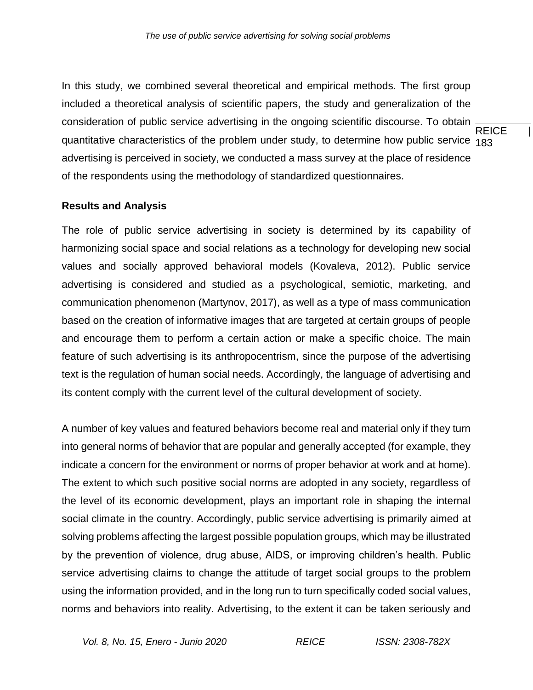**REICE** quantitative characteristics of the problem under study, to determine how public service <sub>183</sub> In this study, we combined several theoretical and empirical methods. The first group included a theoretical analysis of scientific papers, the study and generalization of the consideration of public service advertising in the ongoing scientific discourse. To obtain advertising is perceived in society, we conducted a mass survey at the place of residence of the respondents using the methodology of standardized questionnaires.

### **Results and Analysis**

The role of public service advertising in society is determined by its capability of harmonizing social space and social relations as a technology for developing new social values and socially approved behavioral models (Kovaleva, 2012). Public service advertising is considered and studied as a psychological, semiotic, marketing, and communication phenomenon (Martynov, 2017), as well as a type of mass communication based on the creation of informative images that are targeted at certain groups of people and encourage them to perform a certain action or make a specific choice. The main feature of such advertising is its anthropocentrism, since the purpose of the advertising text is the regulation of human social needs. Accordingly, the language of advertising and its content comply with the current level of the cultural development of society.

A number of key values and featured behaviors become real and material only if they turn into general norms of behavior that are popular and generally accepted (for example, they indicate a concern for the environment or norms of proper behavior at work and at home). The extent to which such positive social norms are adopted in any society, regardless of the level of its economic development, plays an important role in shaping the internal social climate in the country. Accordingly, public service advertising is primarily aimed at solving problems affecting the largest possible population groups, which may be illustrated by the prevention of violence, drug abuse, AIDS, or improving children's health. Public service advertising claims to change the attitude of target social groups to the problem using the information provided, and in the long run to turn specifically coded social values, norms and behaviors into reality. Advertising, to the extent it can be taken seriously and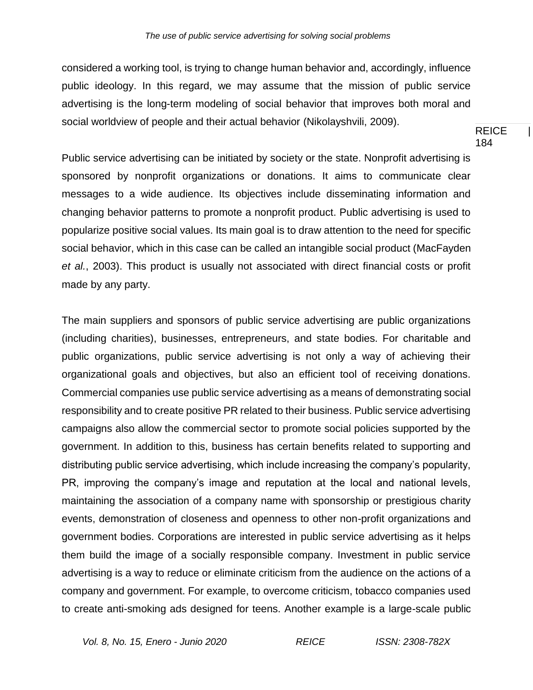considered a working tool, is trying to change human behavior and, accordingly, influence public ideology. In this regard, we may assume that the mission of public service advertising is the long-term modeling of social behavior that improves both moral and social worldview of people and their actual behavior (Nikolayshvili, 2009).

REICE | 184

Public service advertising can be initiated by society or the state. Nonprofit advertising is sponsored by nonprofit organizations or donations. It aims to communicate clear messages to a wide audience. Its objectives include disseminating information and changing behavior patterns to promote a nonprofit product. Public advertising is used to popularize positive social values. Its main goal is to draw attention to the need for specific social behavior, which in this case can be called an intangible social product (MacFayden *et al.*, 2003). This product is usually not associated with direct financial costs or profit made by any party.

The main suppliers and sponsors of public service advertising are public organizations (including charities), businesses, entrepreneurs, and state bodies. For charitable and public organizations, public service advertising is not only a way of achieving their organizational goals and objectives, but also an efficient tool of receiving donations. Commercial companies use public service advertising as a means of demonstrating social responsibility and to create positive PR related to their business. Public service advertising campaigns also allow the commercial sector to promote social policies supported by the government. In addition to this, business has certain benefits related to supporting and distributing public service advertising, which include increasing the company's popularity, PR, improving the company's image and reputation at the local and national levels, maintaining the association of a company name with sponsorship or prestigious charity events, demonstration of closeness and openness to other non-profit organizations and government bodies. Corporations are interested in public service advertising as it helps them build the image of a socially responsible company. Investment in public service advertising is a way to reduce or eliminate criticism from the audience on the actions of a company and government. For example, to overcome criticism, tobacco companies used to create anti-smoking ads designed for teens. Another example is a large-scale public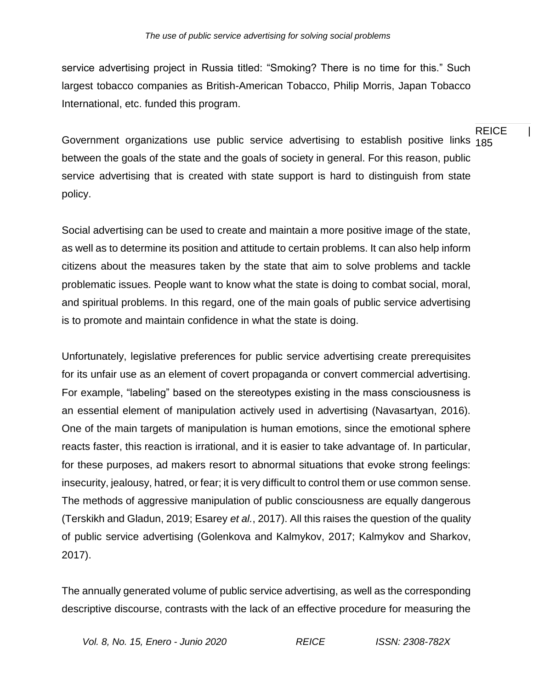service advertising project in Russia titled: "Smoking? There is no time for this." Such largest tobacco companies as British-American Tobacco, Philip Morris, Japan Tobacco International, etc. funded this program.

Government organizations use public service advertising to establish positive links <sub>185</sub> between the goals of the state and the goals of society in general. For this reason, public service advertising that is created with state support is hard to distinguish from state policy.

Social advertising can be used to create and maintain a more positive image of the state, as well as to determine its position and attitude to certain problems. It can also help inform citizens about the measures taken by the state that aim to solve problems and tackle problematic issues. People want to know what the state is doing to combat social, moral, and spiritual problems. In this regard, one of the main goals of public service advertising is to promote and maintain confidence in what the state is doing.

Unfortunately, legislative preferences for public service advertising create prerequisites for its unfair use as an element of covert propaganda or convert commercial advertising. For example, "labeling" based on the stereotypes existing in the mass consciousness is an essential element of manipulation actively used in advertising (Navasartyan, 2016). One of the main targets of manipulation is human emotions, since the emotional sphere reacts faster, this reaction is irrational, and it is easier to take advantage of. In particular, for these purposes, ad makers resort to abnormal situations that evoke strong feelings: insecurity, jealousy, hatred, or fear; it is very difficult to control them or use common sense. The methods of aggressive manipulation of public consciousness are equally dangerous (Terskikh and Gladun, 2019; Esarey *et al.*, 2017). All this raises the question of the quality of public service advertising (Golenkova and Kalmykov, 2017; Kalmykov and Sharkov, 2017).

The annually generated volume of public service advertising, as well as the corresponding descriptive discourse, contrasts with the lack of an effective procedure for measuring the

# REICE |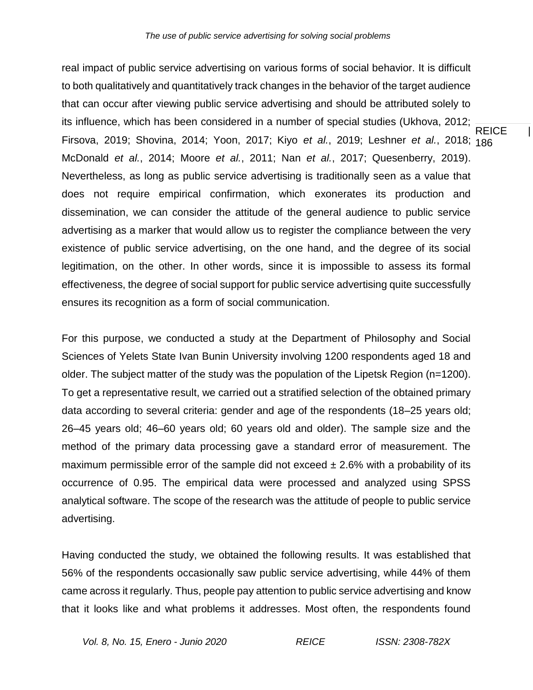**REICE** 186 Firsova, 2019; Shovina, 2014; Yoon, 2017; Kiyo *et al.*, 2019; Leshner *et al.*, 2018; real impact of public service advertising on various forms of social behavior. It is difficult to both qualitatively and quantitatively track changes in the behavior of the target audience that can occur after viewing public service advertising and should be attributed solely to its influence, which has been considered in a number of special studies (Ukhova, 2012; McDonald *et al.*, 2014; Moore *et al.*, 2011; Nan *et al.*, 2017; Quesenberry, 2019). Nevertheless, as long as public service advertising is traditionally seen as a value that does not require empirical confirmation, which exonerates its production and dissemination, we can consider the attitude of the general audience to public service advertising as a marker that would allow us to register the compliance between the very existence of public service advertising, on the one hand, and the degree of its social legitimation, on the other. In other words, since it is impossible to assess its formal effectiveness, the degree of social support for public service advertising quite successfully ensures its recognition as a form of social communication.

For this purpose, we conducted a study at the Department of Philosophy and Social Sciences of Yelets State Ivan Bunin University involving 1200 respondents aged 18 and older. The subject matter of the study was the population of the Lipetsk Region (n=1200). To get a representative result, we carried out a stratified selection of the obtained primary data according to several criteria: gender and age of the respondents (18–25 years old; 26–45 years old; 46–60 years old; 60 years old and older). The sample size and the method of the primary data processing gave a standard error of measurement. The maximum permissible error of the sample did not exceed  $\pm 2.6\%$  with a probability of its occurrence of 0.95. The empirical data were processed and analyzed using SPSS analytical software. The scope of the research was the attitude of people to public service advertising.

Having conducted the study, we obtained the following results. It was established that 56% of the respondents occasionally saw public service advertising, while 44% of them came across it regularly. Thus, people pay attention to public service advertising and know that it looks like and what problems it addresses. Most often, the respondents found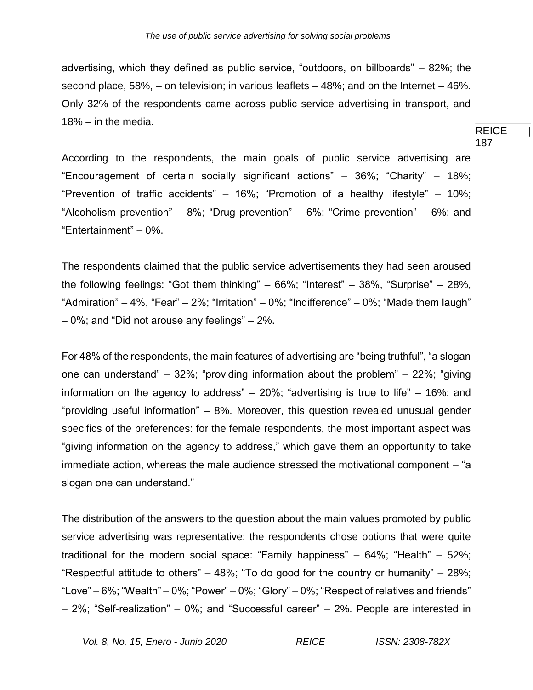advertising, which they defined as public service, "outdoors, on billboards" – 82%; the second place, 58%, – on television; in various leaflets – 48%; and on the Internet – 46%. Only 32% of the respondents came across public service advertising in transport, and 18% – in the media.

REICE | 187

According to the respondents, the main goals of public service advertising are "Encouragement of certain socially significant actions" – 36%; "Charity" – 18%; "Prevention of traffic accidents" – 16%; "Promotion of a healthy lifestyle" – 10%; "Alcoholism prevention" – 8%; "Drug prevention" – 6%; "Crime prevention" – 6%; and "Entertainment" – 0%.

The respondents claimed that the public service advertisements they had seen aroused the following feelings: "Got them thinking" – 66%; "Interest" – 38%, "Surprise" – 28%, "Admiration" – 4%, "Fear" – 2%; "Irritation" – 0%; "Indifference" – 0%; "Made them laugh" – 0%; and "Did not arouse any feelings" – 2%.

For 48% of the respondents, the main features of advertising are "being truthful", "a slogan one can understand" – 32%; "providing information about the problem" – 22%; "giving information on the agency to address" – 20%; "advertising is true to life" – 16%; and "providing useful information" – 8%. Moreover, this question revealed unusual gender specifics of the preferences: for the female respondents, the most important aspect was "giving information on the agency to address," which gave them an opportunity to take immediate action, whereas the male audience stressed the motivational component – "a slogan one can understand."

The distribution of the answers to the question about the main values promoted by public service advertising was representative: the respondents chose options that were quite traditional for the modern social space: "Family happiness" – 64%; "Health" – 52%; "Respectful attitude to others"  $-$  48%; "To do good for the country or humanity"  $-$  28%; "Love"  $-6\%$ ; "Wealth"  $-0\%$ ; "Power"  $-0\%$ ; "Glory"  $-0\%$ ; "Respect of relatives and friends" – 2%; "Self-realization" – 0%; and "Successful career" – 2%. People are interested in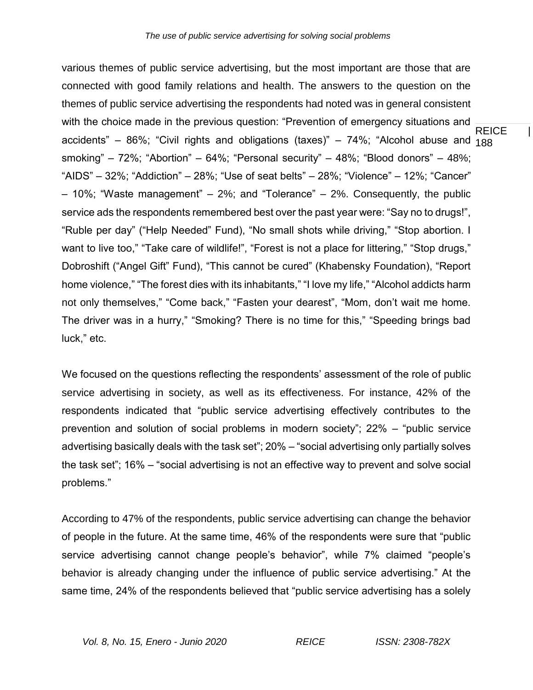**REICE** accidents" – 86%; "Civil rights and obligations (taxes)" – 74%; "Alcohol abuse and <sub>188</sub> various themes of public service advertising, but the most important are those that are connected with good family relations and health. The answers to the question on the themes of public service advertising the respondents had noted was in general consistent with the choice made in the previous question: "Prevention of emergency situations and smoking" – 72%; "Abortion" – 64%; "Personal security" – 48%; "Blood donors" – 48%; "AIDS"  $-$  32%; "Addiction"  $-$  28%; "Use of seat belts"  $-$  28%; "Violence"  $-$  12%; "Cancer" – 10%; "Waste management" – 2%; and "Tolerance" – 2%. Consequently, the public service ads the respondents remembered best over the past year were: "Say no to drugs!", "Ruble per day" ("Help Needed" Fund), "No small shots while driving," "Stop abortion. I want to live too," "Take care of wildlife!", "Forest is not a place for littering," "Stop drugs," Dobroshift ("Angel Gift" Fund), "This cannot be cured" (Khabensky Foundation), "Report home violence," "The forest dies with its inhabitants," "I love my life," "Alcohol addicts harm not only themselves," "Come back," "Fasten your dearest", "Mom, don't wait me home. The driver was in a hurry," "Smoking? There is no time for this," "Speeding brings bad luck," etc.

We focused on the questions reflecting the respondents' assessment of the role of public service advertising in society, as well as its effectiveness. For instance, 42% of the respondents indicated that "public service advertising effectively contributes to the prevention and solution of social problems in modern society"; 22% – "public service advertising basically deals with the task set"; 20% – "social advertising only partially solves the task set"; 16% – "social advertising is not an effective way to prevent and solve social problems."

According to 47% of the respondents, public service advertising can change the behavior of people in the future. At the same time, 46% of the respondents were sure that "public service advertising cannot change people's behavior", while 7% claimed "people's behavior is already changing under the influence of public service advertising." At the same time, 24% of the respondents believed that "public service advertising has a solely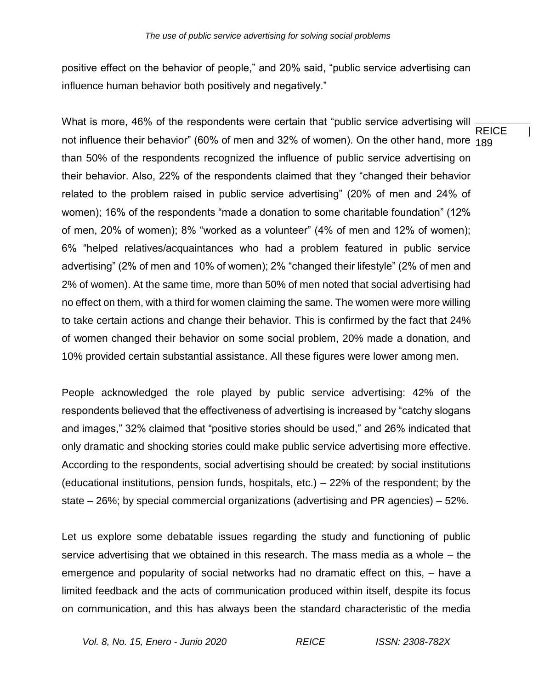positive effect on the behavior of people," and 20% said, "public service advertising can influence human behavior both positively and negatively."

**REICE** not influence their behavior" (60% of men and 32% of women). On the other hand, more <sub>189</sub> What is more, 46% of the respondents were certain that "public service advertising will than 50% of the respondents recognized the influence of public service advertising on their behavior. Also, 22% of the respondents claimed that they "changed their behavior related to the problem raised in public service advertising" (20% of men and 24% of women); 16% of the respondents "made a donation to some charitable foundation" (12% of men, 20% of women); 8% "worked as a volunteer" (4% of men and 12% of women); 6% "helped relatives/acquaintances who had a problem featured in public service advertising" (2% of men and 10% of women); 2% "changed their lifestyle" (2% of men and 2% of women). At the same time, more than 50% of men noted that social advertising had no effect on them, with a third for women claiming the same. The women were more willing to take certain actions and change their behavior. This is confirmed by the fact that 24% of women changed their behavior on some social problem, 20% made a donation, and 10% provided certain substantial assistance. All these figures were lower among men.

People acknowledged the role played by public service advertising: 42% of the respondents believed that the effectiveness of advertising is increased by "catchy slogans and images," 32% claimed that "positive stories should be used," and 26% indicated that only dramatic and shocking stories could make public service advertising more effective. According to the respondents, social advertising should be created: by social institutions (educational institutions, pension funds, hospitals, etc.) – 22% of the respondent; by the state – 26%; by special commercial organizations (advertising and PR agencies) – 52%.

Let us explore some debatable issues regarding the study and functioning of public service advertising that we obtained in this research. The mass media as a whole – the emergence and popularity of social networks had no dramatic effect on this, – have a limited feedback and the acts of communication produced within itself, despite its focus on communication, and this has always been the standard characteristic of the media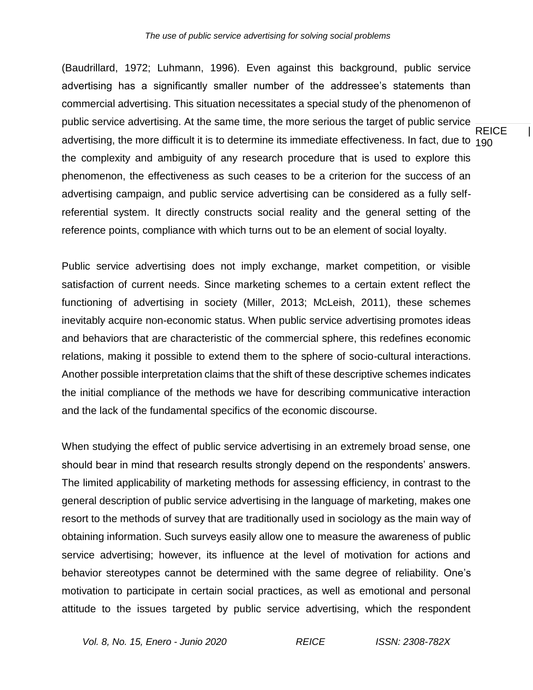REICE | advertising, the more difficult it is to determine its immediate effectiveness. In fact, due to  $_{190}$ (Baudrillard, 1972; Luhmann, 1996). Even against this background, public service advertising has a significantly smaller number of the addressee's statements than commercial advertising. This situation necessitates a special study of the phenomenon of public service advertising. At the same time, the more serious the target of public service the complexity and ambiguity of any research procedure that is used to explore this phenomenon, the effectiveness as such ceases to be a criterion for the success of an advertising campaign, and public service advertising can be considered as a fully selfreferential system. It directly constructs social reality and the general setting of the reference points, compliance with which turns out to be an element of social loyalty.

Public service advertising does not imply exchange, market competition, or visible satisfaction of current needs. Since marketing schemes to a certain extent reflect the functioning of advertising in society (Miller, 2013; McLeish, 2011), these schemes inevitably acquire non-economic status. When public service advertising promotes ideas and behaviors that are characteristic of the commercial sphere, this redefines economic relations, making it possible to extend them to the sphere of socio-cultural interactions. Another possible interpretation claims that the shift of these descriptive schemes indicates the initial compliance of the methods we have for describing communicative interaction and the lack of the fundamental specifics of the economic discourse.

When studying the effect of public service advertising in an extremely broad sense, one should bear in mind that research results strongly depend on the respondents' answers. The limited applicability of marketing methods for assessing efficiency, in contrast to the general description of public service advertising in the language of marketing, makes one resort to the methods of survey that are traditionally used in sociology as the main way of obtaining information. Such surveys easily allow one to measure the awareness of public service advertising; however, its influence at the level of motivation for actions and behavior stereotypes cannot be determined with the same degree of reliability. One's motivation to participate in certain social practices, as well as emotional and personal attitude to the issues targeted by public service advertising, which the respondent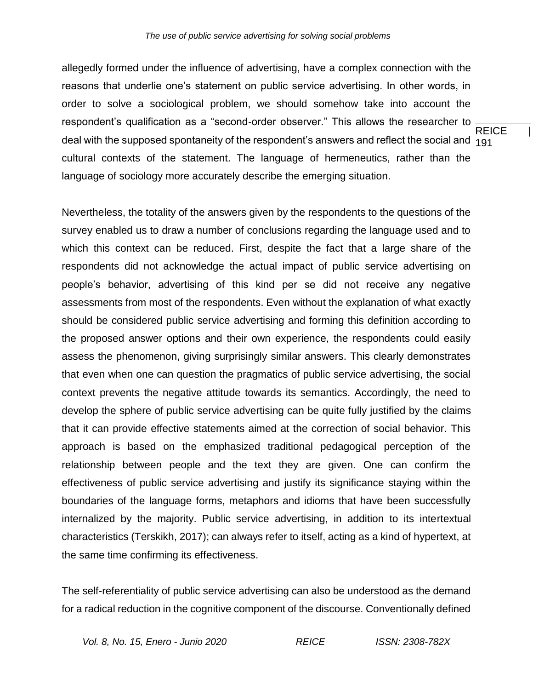**REICE** deal with the supposed spontaneity of the respondent's answers and reflect the social and  $\,{}^{1}$ 91 allegedly formed under the influence of advertising, have a complex connection with the reasons that underlie one's statement on public service advertising. In other words, in order to solve a sociological problem, we should somehow take into account the respondent's qualification as a "second-order observer." This allows the researcher to cultural contexts of the statement. The language of hermeneutics, rather than the language of sociology more accurately describe the emerging situation.

Nevertheless, the totality of the answers given by the respondents to the questions of the survey enabled us to draw a number of conclusions regarding the language used and to which this context can be reduced. First, despite the fact that a large share of the respondents did not acknowledge the actual impact of public service advertising on people's behavior, advertising of this kind per se did not receive any negative assessments from most of the respondents. Even without the explanation of what exactly should be considered public service advertising and forming this definition according to the proposed answer options and their own experience, the respondents could easily assess the phenomenon, giving surprisingly similar answers. This clearly demonstrates that even when one can question the pragmatics of public service advertising, the social context prevents the negative attitude towards its semantics. Accordingly, the need to develop the sphere of public service advertising can be quite fully justified by the claims that it can provide effective statements aimed at the correction of social behavior. This approach is based on the emphasized traditional pedagogical perception of the relationship between people and the text they are given. One can confirm the effectiveness of public service advertising and justify its significance staying within the boundaries of the language forms, metaphors and idioms that have been successfully internalized by the majority. Public service advertising, in addition to its intertextual characteristics (Terskikh, 2017); can always refer to itself, acting as a kind of hypertext, at the same time confirming its effectiveness.

The self-referentiality of public service advertising can also be understood as the demand for a radical reduction in the cognitive component of the discourse. Conventionally defined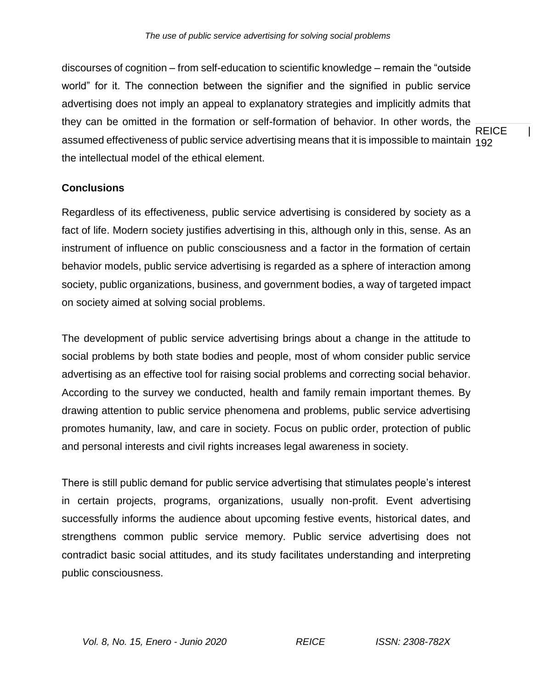**REICE** assumed effectiveness of public service advertising means that it is impossible to maintain  $_{192}$ discourses of cognition – from self-education to scientific knowledge – remain the "outside world" for it. The connection between the signifier and the signified in public service advertising does not imply an appeal to explanatory strategies and implicitly admits that they can be omitted in the formation or self-formation of behavior. In other words, the the intellectual model of the ethical element.

# **Conclusions**

Regardless of its effectiveness, public service advertising is considered by society as a fact of life. Modern society justifies advertising in this, although only in this, sense. As an instrument of influence on public consciousness and a factor in the formation of certain behavior models, public service advertising is regarded as a sphere of interaction among society, public organizations, business, and government bodies, a way of targeted impact on society aimed at solving social problems.

The development of public service advertising brings about a change in the attitude to social problems by both state bodies and people, most of whom consider public service advertising as an effective tool for raising social problems and correcting social behavior. According to the survey we conducted, health and family remain important themes. By drawing attention to public service phenomena and problems, public service advertising promotes humanity, law, and care in society. Focus on public order, protection of public and personal interests and civil rights increases legal awareness in society.

There is still public demand for public service advertising that stimulates people's interest in certain projects, programs, organizations, usually non-profit. Event advertising successfully informs the audience about upcoming festive events, historical dates, and strengthens common public service memory. Public service advertising does not contradict basic social attitudes, and its study facilitates understanding and interpreting public consciousness.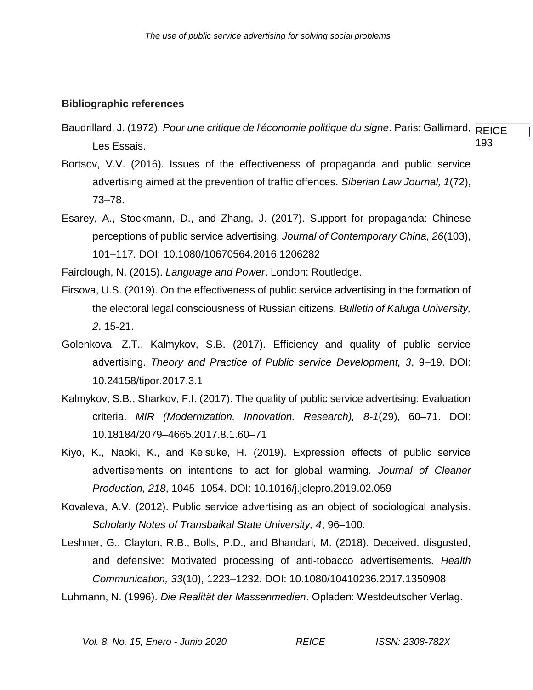#### **Bibliographic references**

- Baudrillard, J. (1972). *Pour une critique de l'économie politique du signe*. Paris: Gallimard, REICE de l 193 Les Essais.
- Bortsov, V.V. (2016). Issues of the effectiveness of propaganda and public service advertising aimed at the prevention of traffic offences. *Siberian Law Journal, 1*(72), 73–78.
- Esarey, A., Stockmann, D., and Zhang, J. (2017). Support for propaganda: Chinese perceptions of public service advertising. *Journal of Contemporary China, 26*(103), 101–117. DOI: 10.1080/10670564.2016.1206282

Fairclough, N. (2015). *Language and Power*. London: Routledge.

- Firsova, U.S. (2019). On the effectiveness of public service advertising in the formation of the electoral legal consciousness of Russian citizens. *Bulletin of Kaluga University, 2*, 15-21.
- Golenkova, Z.T., Kalmykov, S.B. (2017). Efficiency and quality of public service advertising. *Theory and Practice of Public service Development, 3*, 9–19. DOI: 10.24158/tipor.2017.3.1
- Kalmykov, S.B., Sharkov, F.I. (2017). The quality of public service advertising: Evaluation criteria. *MIR (Modernization. Innovation. Research), 8-1*(29), 60–71. DOI: 10.18184/2079–4665.2017.8.1.60–71
- Kiyo, K., Naoki, K., and Keisuke, H. (2019). Expression effects of public service advertisements on intentions to act for global warming. *Journal of Cleaner Production, 218*, 1045–1054. DOI: 10.1016/j.jclepro.2019.02.059
- Kovaleva, A.V. (2012). Public service advertising as an object of sociological analysis. *Scholarly Notes of Transbaikal State University, 4*, 96–100.
- Leshner, G., Clayton, R.B., Bolls, P.D., and Bhandari, M. (2018). Deceived, disgusted, and defensive: Motivated processing of anti-tobacco advertisements. *Health Communication, 33*(10), 1223–1232. DOI: 10.1080/10410236.2017.1350908

Luhmann, N. (1996). *Die Realität der Massenmedien*. Opladen: Westdeutscher Verlag.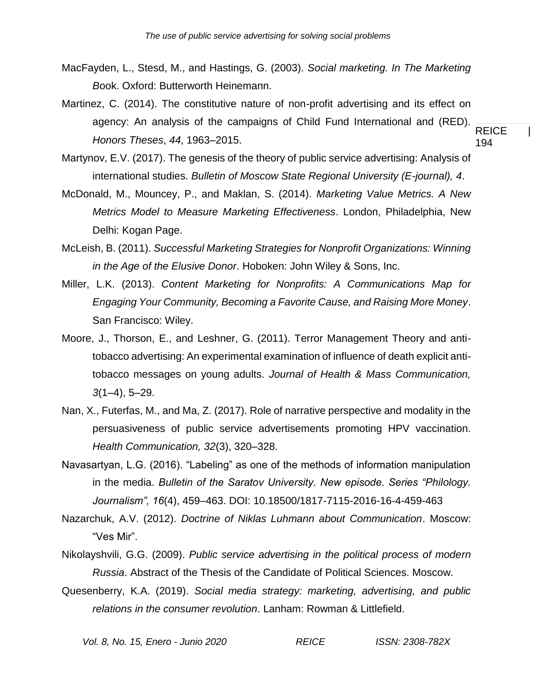- MacFayden, L., Stesd, M., and Hastings, G. (2003). *Social marketing. In The Marketing B*ook. Oxford: Butterworth Heinemann.
- **REICE** 194 Martinez, C. (2014). The constitutive nature of non-profit advertising and its effect on agency: An analysis of the campaigns of Child Fund International and (RED). *Honors Theses*, *44*, 1963–2015.
- Martynov, E.V. (2017). The genesis of the theory of public service advertising: Analysis of international studies. *Bulletin of Moscow State Regional University (E-journal), 4*.
- McDonald, M., Mouncey, P., and Maklan, S. (2014). *Marketing Value Metrics. A New Metrics Model to Measure Marketing Effectiveness*. London, Philadelphia, New Delhi: Kogan Page.
- McLeish, B. (2011). *Successful Marketing Strategies for Nonprofit Organizations: Winning in the Age of the Elusive Donor*. Hoboken: John Wiley & Sons, Inc.
- Miller, L.K. (2013). *Content Marketing for Nonprofits: A Communications Map for Engaging Your Community, Becoming a Favorite Cause, and Raising More Money*. San Francisco: Wiley.
- Moore, J., Thorson, E., and Leshner, G. (2011). Terror Management Theory and antitobacco advertising: An experimental examination of influence of death explicit antitobacco messages on young adults. *Journal of Health & Mass Communication, 3*(1–4), 5–29.
- Nan, X., Futerfas, M., and Ma, Z. (2017). Role of narrative perspective and modality in the persuasiveness of public service advertisements promoting HPV vaccination. *Health Communication, 32*(3), 320–328.
- Navasartyan, L.G. (2016). "Labeling" as one of the methods of information manipulation in the media. *Bulletin of the Saratov University. New episode. Series "Philology. Journalism", 16*(4), 459–463. DOI: 10.18500/1817-7115-2016-16-4-459-463
- Nazarchuk, A.V. (2012). *Doctrine of Niklas Luhmann about Communication*. Moscow: "Ves Mir".
- Nikolayshvili, G.G. (2009). *Public service advertising in the political process of modern Russia*. Abstract of the Thesis of the Candidate of Political Sciences. Moscow.
- Quesenberry, K.A. (2019). *Social media strategy: marketing, advertising, and public relations in the consumer revolution*. Lanham: Rowman & Littlefield.